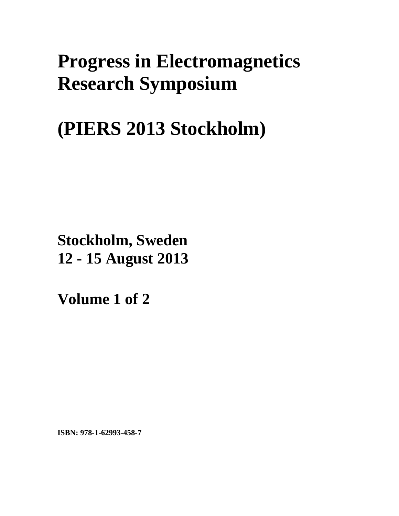## **Progress in Electromagnetics Research Symposium**

## **(PIERS 2013 Stockholm)**

**Stockholm, Sweden 12 - 15 August 2013**

**Volume 1 of 2** 

**ISBN: 978-1-62993-458-7**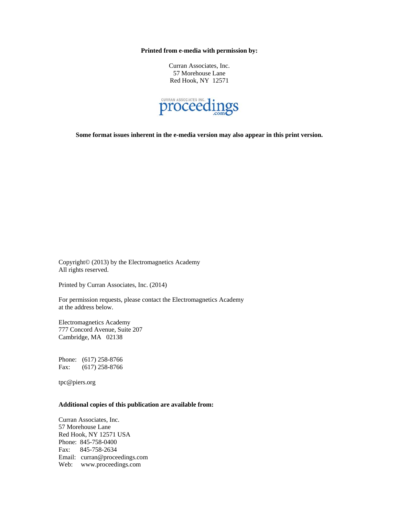**Printed from e-media with permission by:** 

Curran Associates, Inc. 57 Morehouse Lane Red Hook, NY 12571



**Some format issues inherent in the e-media version may also appear in this print version.** 

Copyright© (2013) by the Electromagnetics Academy All rights reserved.

Printed by Curran Associates, Inc. (2014)

For permission requests, please contact the Electromagnetics Academy at the address below.

Electromagnetics Academy 777 Concord Avenue, Suite 207 Cambridge, MA 02138

Phone: (617) 258-8766 Fax: (617) 258-8766

tpc@piers.org

## **Additional copies of this publication are available from:**

Curran Associates, Inc. 57 Morehouse Lane Red Hook, NY 12571 USA Phone: 845-758-0400 Fax: 845-758-2634 Email: curran@proceedings.com Web: www.proceedings.com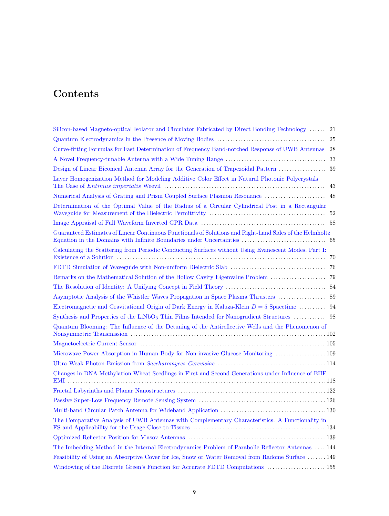## Contents

| Silicon-based Magneto-optical Isolator and Circulator Fabricated by Direct Bonding Technology  21          |
|------------------------------------------------------------------------------------------------------------|
| 25                                                                                                         |
| Curve-fitting Formulas for Fast Determination of Frequency Band-notched Response of UWB Antennas<br>28     |
| 33                                                                                                         |
|                                                                                                            |
| Layer Homogenization Method for Modeling Additive Color Effect in Natural Photonic Polycrystals —<br>43    |
| Numerical Analysis of Grating and Prism Coupled Surface Plasmon Resonance  48                              |
| Determination of the Optimal Value of the Radius of a Circular Cylindrical Post in a Rectangular           |
|                                                                                                            |
| Guaranteed Estimates of Linear Continuous Functionals of Solutions and Right-hand Sides of the Helmholtz   |
| Calculating the Scattering from Periodic Conducting Surfaces without Using Evanescent Modes, Part I:<br>70 |
|                                                                                                            |
|                                                                                                            |
|                                                                                                            |
|                                                                                                            |
| Electromagnetic and Gravitational Origin of Dark Energy in Kaluza-Klein $D = 5$ Spacetime  94              |
|                                                                                                            |
| Quantum Blooming: The Influence of the Detuning of the Antireflective Wells and the Phenomenon of          |
|                                                                                                            |
| Microwave Power Absorption in Human Body for Non-invasive Glucose Monitoring  109                          |
|                                                                                                            |
| Changes in DNA Methylation Wheat Seedlings in First and Second Generations under Influence of EHF          |
|                                                                                                            |
|                                                                                                            |
|                                                                                                            |
| The Comparative Analysis of UWB Antennas with Complementary Characteristics: A Functionality in            |
|                                                                                                            |
| The Imbedding Method in the Internal Electrodynamics Problem of Parabolic Reflector Antennas  144          |
| Feasibility of Using an Absorptive Cover for Ice, Snow or Water Removal from Radome Surface  149           |
| Windowing of the Discrete Green's Function for Accurate FDTD Computations  155                             |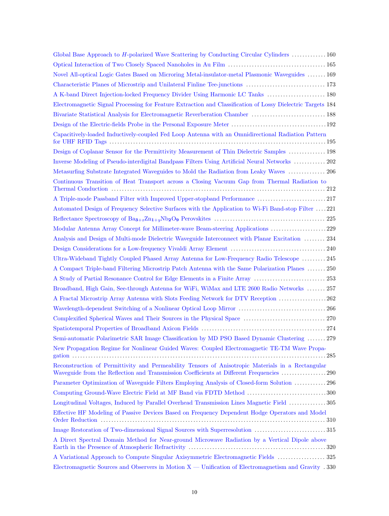| Global Base Approach to H-polarized Wave Scattering by Conducting Circular Cylinders  160                                                                                                     |
|-----------------------------------------------------------------------------------------------------------------------------------------------------------------------------------------------|
|                                                                                                                                                                                               |
| Novel All-optical Logic Gates Based on Microring Metal-insulator-metal Plasmonic Waveguides  169                                                                                              |
|                                                                                                                                                                                               |
| A K-band Direct Injection-locked Frequency Divider Using Harmonic LC Tanks  180                                                                                                               |
| Electromagnetic Signal Processing for Feature Extraction and Classification of Lossy Dielectric Targets 184                                                                                   |
| Bivariate Statistical Analysis for Electromagnetic Reverberation Chamber  188                                                                                                                 |
|                                                                                                                                                                                               |
| Capacitively-loaded Inductively-coupled Fed Loop Antenna with an Omnidirectional Radiation Pattern                                                                                            |
| Design of Coplanar Sensor for the Permittivity Measurement of Thin Dielectric Samples  198                                                                                                    |
| Inverse Modeling of Pseudo-interdigital Bandpass Filters Using Artificial Neural Networks  202                                                                                                |
| Metasurfing Substrate Integrated Waveguides to Mold the Radiation from Leaky Waves  206                                                                                                       |
| Continuous Transition of Heat Transport across a Closing Vacuum Gap from Thermal Radiation to                                                                                                 |
| A Triple-mode Passband Filter with Improved Upper-stopband Performance 217                                                                                                                    |
| Automated Design of Frequency Selective Surfaces with the Application to Wi-Fi Band-stop Filter 221                                                                                           |
|                                                                                                                                                                                               |
| Modular Antenna Array Concept for Millimeter-wave Beam-steering Applications 229                                                                                                              |
| Analysis and Design of Multi-mode Dielectric Waveguide Interconnect with Planar Excitation  234                                                                                               |
|                                                                                                                                                                                               |
| Ultra-Wideband Tightly Coupled Phased Array Antenna for Low-Frequency Radio Telescope  245                                                                                                    |
| A Compact Triple-band Filtering Microstrip Patch Antenna with the Same Polarization Planes  250                                                                                               |
|                                                                                                                                                                                               |
| Broadband, High Gain, See-through Antenna for WiFi, WiMax and LTE 2600 Radio Networks  257                                                                                                    |
| A Fractal Microstrip Array Antenna with Slots Feeding Network for DTV Reception 262                                                                                                           |
|                                                                                                                                                                                               |
|                                                                                                                                                                                               |
|                                                                                                                                                                                               |
| Semi-automatic Polarimetric SAR Image Classification by MD PSO Based Dynamic Clustering  279                                                                                                  |
| New Propagation Regime for Nonlinear Guided Waves: Coupled Electromagnetic TE-TM Wave Propa-                                                                                                  |
| Reconstruction of Permittivity and Permeability Tensors of Anisotropic Materials in a Rectangular<br>Waveguide from the Reflection and Transmission Coefficients at Different Frequencies 290 |
| Parameter Optimization of Waveguide Filters Employing Analysis of Closed-form Solution 296                                                                                                    |
| Computing Ground-Wave Electric Field at MF Band via FDTD Method 300                                                                                                                           |
| Longitudinal Voltages, Induced by Parallel Overhead Transmission Lines Magnetic Field  305                                                                                                    |
| Effective HF Modeling of Passive Devices Based on Frequency Dependent Hodge Operators and Model                                                                                               |
|                                                                                                                                                                                               |
| A Direct Spectral Domain Method for Near-ground Microwave Radiation by a Vertical Dipole above                                                                                                |
| A Variational Approach to Compute Singular Axisymmetric Electromagnetic Fields  325                                                                                                           |
| Electromagnetic Sources and Observers in Motion $X -$ Unification of Electromagnetism and Gravity . 330                                                                                       |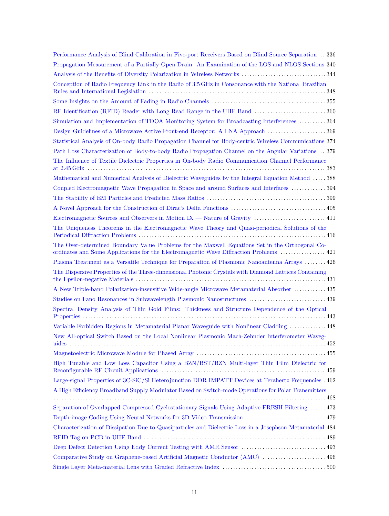| Performance Analysis of Blind Calibration in Five-port Receivers Based on Blind Source Separation  336                                                                                    |
|-------------------------------------------------------------------------------------------------------------------------------------------------------------------------------------------|
| Propagation Measurement of a Partially Open Drain: An Examination of the LOS and NLOS Sections 340                                                                                        |
|                                                                                                                                                                                           |
| Conception of Radio Frequency Link in the Radio of 3.5 GHz in Consonance with the National Brazilian                                                                                      |
|                                                                                                                                                                                           |
|                                                                                                                                                                                           |
| Simulation and Implementation of TDOA Monitoring System for Broadcasting Interferences  364                                                                                               |
| Design Guidelines of a Microwave Active Front-end Receptor: A LNA Approach  369                                                                                                           |
| Statistical Analysis of On-body Radio Propagation Channel for Body-centric Wireless Communications 374                                                                                    |
| Path Loss Characterization of Body-to-body Radio Propagation Channel on the Angular Variations . 379                                                                                      |
| The Influence of Textile Dielectric Properties in On-body Radio Communication Channel Performance                                                                                         |
| Mathematical and Numerical Analysis of Dielectric Waveguides by the Integral Equation Method  388                                                                                         |
| Coupled Electromagnetic Wave Propagation in Space and around Surfaces and Interfaces  394                                                                                                 |
|                                                                                                                                                                                           |
|                                                                                                                                                                                           |
| Electromagnetic Sources and Observers in Motion IX — Nature of Gravity  411                                                                                                               |
| The Uniqueness Theorems in the Electromagnetic Wave Theory and Quasi-periodical Solutions of the                                                                                          |
| The Over-determined Boundary Value Problems for the Maxwell Equations Set in the Orthogonal Co-<br>ordinates and Some Applications for the Electromagnetic Wave Diffraction Problems  421 |
| Plasma Treatment as a Versatile Technique for Preparation of Plasmonic Nanoantenna Arrays  426                                                                                            |
| The Dispersive Properties of the Three-dimensional Photonic Crystals with Diamond Lattices Containing                                                                                     |
| A New Triple-band Polarization-insensitive Wide-angle Microwave Metamaterial Absorber  435                                                                                                |
| Studies on Fano Resonances in Subwavelength Plasmonic Nanostructures  439                                                                                                                 |
| Spectral Density Analysis of Thin Gold Films: Thickness and Structure Dependence of the Optical                                                                                           |
| Variable Forbidden Regions in Metamaterial Planar Waveguide with Nonlinear Cladding  448                                                                                                  |
| New All-optical Switch Based on the Local Nonlinear Plasmonic Mach-Zehnder Interferometer Waveg-                                                                                          |
|                                                                                                                                                                                           |
| High Tunable and Low Loss Capacitor Using a BZN/BST/BZN Multi-layer Thin Film Dielectric for                                                                                              |
| Large-signal Properties of 3C-SiC/Si Heterojunction DDR IMPATT Devices at Terahertz Frequencies . 462                                                                                     |
| A High Efficiency Broadband Supply Modulator Based on Switch-mode Operations for Polar Transmitters                                                                                       |
|                                                                                                                                                                                           |
| Separation of Overlapped Compressed Cyclostationary Signals Using Adaptive FRESH Filtering  473                                                                                           |
| Depth-image Coding Using Neural Networks for 3D Video Transmission  479                                                                                                                   |
| Characterization of Dissipation Due to Quasiparticles and Dielectric Loss in a Josephson Metamaterial 484                                                                                 |
|                                                                                                                                                                                           |
| Deep Defect Detection Using Eddy Current Testing with AMR Sensor  493                                                                                                                     |
| Comparative Study on Graphene-based Artificial Magnetic Conductor (AMC)  496                                                                                                              |
|                                                                                                                                                                                           |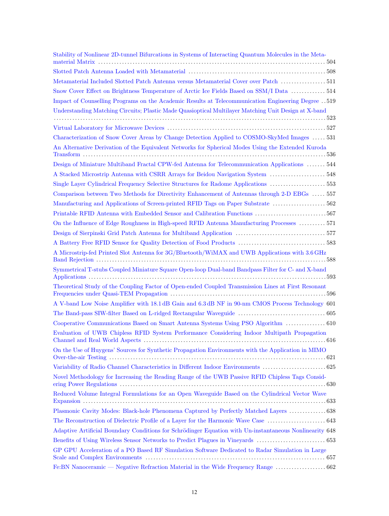| Stability of Nonlinear 2D-tunnel Bifurcations in Systems of Interacting Quantum Molecules in the Meta-  |
|---------------------------------------------------------------------------------------------------------|
|                                                                                                         |
| Metamaterial Included Slotted Patch Antenna versus Metamaterial Cover over Patch  511                   |
| Snow Cover Effect on Brightness Temperature of Arctic Ice Fields Based on SSM/I Data  514               |
| Impact of Counselling Programs on the Academic Results at Telecommunication Engineering Degree519       |
| Understanding Matching Circuits; Plastic Made Quasioptical Multilayer Matching Unit Design at X-band    |
|                                                                                                         |
|                                                                                                         |
| Characterization of Snow Cover Areas by Change Detection Applied to COSMO-SkyMed Images  531            |
| An Alternative Derivation of the Equivalent Networks for Spherical Modes Using the Extended Kuroda      |
| Design of Miniature Multiband Fractal CPW-fed Antenna for Telecommunication Applications  544           |
| A Stacked Microstrip Antenna with CSRR Arrays for Beidou Navigation System  548                         |
| Single Layer Cylindrical Frequency Selective Structures for Radome Applications 553                     |
| Comparison between Two Methods for Directivity Enhancement of Antennas through 2-D EBGs  557            |
| Manufacturing and Applications of Screen-printed RFID Tags on Paper Substrate  562                      |
| Printable RFID Antenna with Embedded Sensor and Calibration Functions 567                               |
| On the Influence of Edge Roughness in High-speed RFID Antenna Manufacturing Processes  571              |
|                                                                                                         |
|                                                                                                         |
| A Microstrip-fed Printed Slot Antenna for 3G/Bluetooth/WiMAX and UWB Applications with 3.6 GHz          |
| Symmetrical T-stubs Coupled Miniature Square Open-loop Dual-band Bandpass Filter for C- and X-band      |
| Theoretical Study of the Coupling Factor of Open-ended Coupled Transmission Lines at First Resonant     |
| A V-band Low Noise Amplifier with 18.1 dB Gain and 6.3 dB NF in 90-nm CMOS Process Technology 601       |
|                                                                                                         |
| Cooperative Communications Based on Smart Antenna Systems Using PSO Algorithm  610                      |
| Evaluation of UWB Chipless RFID System Performance Considering Indoor Multipath Propagation             |
| On the Use of Huygens' Sources for Synthetic Propagation Environments with the Application in MIMO      |
|                                                                                                         |
| Novel Methodology for Increasing the Reading Range of the UWB Passive RFID Chipless Tags Consid-        |
| Reduced Volume Integral Formulations for an Open Waveguide Based on the Cylindrical Vector Wave         |
| Plasmonic Cavity Modes: Black-hole Phenomena Captured by Perfectly Matched Layers  638                  |
|                                                                                                         |
| Adaptive Artificial Boundary Conditions for Schrödinger Equation with Un-instantaneous Nonlinearity 648 |
|                                                                                                         |
| GP GPU Acceleration of a PO Based RF Simulation Software Dedicated to Radar Simulation in Large         |
|                                                                                                         |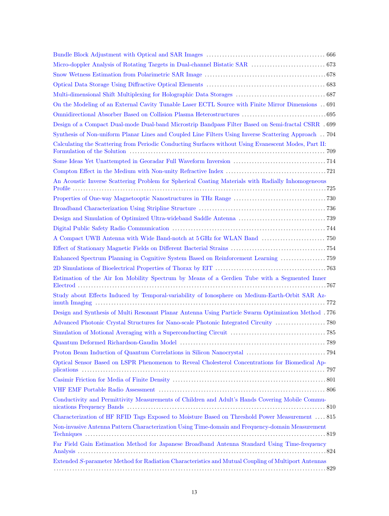| On the Modeling of an External Cavity Tunable Laser ECTL Source with Finite Mirror Dimensions $\,$ 691 |
|--------------------------------------------------------------------------------------------------------|
|                                                                                                        |
| Design of a Compact Dual-mode Dual-band Microstrip Bandpass Filter Based on Semi-fractal CSRR . 699    |
| Synthesis of Non-uniform Planar Lines and Coupled Line Filters Using Inverse Scattering Approach  704  |
| Calculating the Scattering from Periodic Conducting Surfaces without Using Evanescent Modes, Part II:  |
|                                                                                                        |
|                                                                                                        |
| An Acoustic Inverse Scattering Problem for Spherical Coating Materials with Radially Inhomogeneous     |
|                                                                                                        |
|                                                                                                        |
|                                                                                                        |
|                                                                                                        |
|                                                                                                        |
|                                                                                                        |
| Enhanced Spectrum Planning in Cognitive System Based on Reinforcement Learning  759                    |
|                                                                                                        |
| Estimation of the Air Ion Mobility Spectrum by Means of a Gerdien Tube with a Segmented Inner          |
| Study about Effects Induced by Temporal-variability of Ionosphere on Medium-Earth-Orbit SAR Az-        |
| Design and Synthesis of Multi Resonant Planar Antenna Using Particle Swarm Optimization Method .776    |
|                                                                                                        |
|                                                                                                        |
|                                                                                                        |
|                                                                                                        |
| Optical Sensor Based on LSPR Phenomenon to Reveal Cholesterol Concentrations for Biomedical Ap-        |
|                                                                                                        |
|                                                                                                        |
| Conductivity and Permittivity Measurements of Children and Adult's Hands Covering Mobile Commu-        |
| Characterization of HF RFID Tags Exposed to Moisture Based on Threshold Power Measurement  815         |
| Non-invasive Antenna Pattern Characterization Using Time-domain and Frequency-domain Measurement       |
| Far Field Gain Estimation Method for Japanese Broadband Antenna Standard Using Time-frequency          |
| Extended S-parameter Method for Radiation Characteristics and Mutual Coupling of Multiport Antennas    |
|                                                                                                        |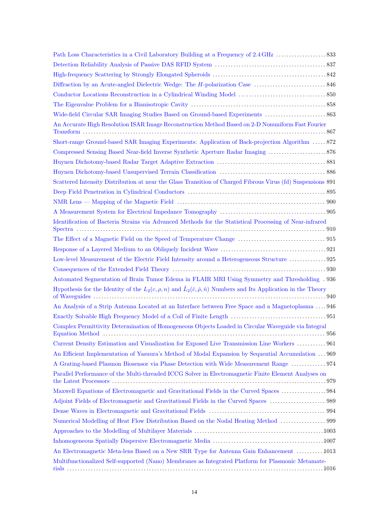| Wide-field Circular SAR Imaging Studies Based on Ground-based Experiments  863                                                                                                                                                                                                                                                               |
|----------------------------------------------------------------------------------------------------------------------------------------------------------------------------------------------------------------------------------------------------------------------------------------------------------------------------------------------|
| An Accurate High Resolution ISAR Image Reconstruction Method Based on 2-D Nonuniform Fast Fourier                                                                                                                                                                                                                                            |
| Short-range Ground-based SAR Imaging Experiments: Application of Back-projection Algorithm  872                                                                                                                                                                                                                                              |
|                                                                                                                                                                                                                                                                                                                                              |
|                                                                                                                                                                                                                                                                                                                                              |
|                                                                                                                                                                                                                                                                                                                                              |
| Scattered Intensity Distribution at near the Glass Transition of Charged Fibrous Virus (fd) Suspensions 891                                                                                                                                                                                                                                  |
|                                                                                                                                                                                                                                                                                                                                              |
|                                                                                                                                                                                                                                                                                                                                              |
|                                                                                                                                                                                                                                                                                                                                              |
| Identification of Bacteria Strains via Advanced Methods for the Statistical Processing of Near-infrared                                                                                                                                                                                                                                      |
|                                                                                                                                                                                                                                                                                                                                              |
|                                                                                                                                                                                                                                                                                                                                              |
| Low-level Measurement of the Electric Field Intensity around a Heterogeneous Structure 925                                                                                                                                                                                                                                                   |
|                                                                                                                                                                                                                                                                                                                                              |
| Automated Segmentation of Brain Tumor Edema in FLAIR MRI Using Symmetry and Thresholding . 936                                                                                                                                                                                                                                               |
| Hypothesis for the Identity of the $L_2(c, \rho, n)$ and $\hat{L}_2(\hat{c}, \hat{\rho}, \hat{n})$ Numbers and Its Application in the Theory                                                                                                                                                                                                 |
| An Analysis of a Strip Antenna Located at an Interface between Free Space and a Magnetoplasma  946                                                                                                                                                                                                                                           |
|                                                                                                                                                                                                                                                                                                                                              |
| Complex Permittivity Determination of Homogeneous Objects Loaded in Circular Waveguide via Integral<br>Equation Method (a) and a contract of the contract of the set of the set of the set of the set of the set of the set of the set of the set of the set of the set of the set of the set of the set of the set of the set of the<br>956 |
| Current Density Estimation and Visualization for Exposed Live Transmission Line Workers  961                                                                                                                                                                                                                                                 |
| An Efficient Implementation of Yasuura's Method of Modal Expansion by Sequential Accumulation  969                                                                                                                                                                                                                                           |
| A Grating-based Plasmon Biosensor via Phase Detection with Wide Measurement Range  974                                                                                                                                                                                                                                                       |
| Parallel Performance of the Multi-threaded ICCG Solver in Electromagnetic Finite Element Analyses on                                                                                                                                                                                                                                         |
| Maxwell Equations of Electromagnetic and Gravitational Fields in the Curved Spaces 984                                                                                                                                                                                                                                                       |
|                                                                                                                                                                                                                                                                                                                                              |
|                                                                                                                                                                                                                                                                                                                                              |
| Numerical Modelling of Heat Flow Distribution Based on the Nodal Heating Method  999                                                                                                                                                                                                                                                         |
|                                                                                                                                                                                                                                                                                                                                              |
|                                                                                                                                                                                                                                                                                                                                              |
| An Electromagnetic Meta-lens Based on a New SRR Type for Antenna Gain Enhancement 1013                                                                                                                                                                                                                                                       |
| Multifunctionalized Self-supported (Nano) Membranes as Integrated Platform for Plasmonic Metamate-                                                                                                                                                                                                                                           |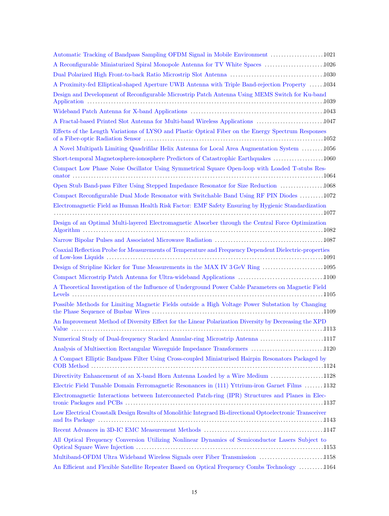| Automatic Tracking of Bandpass Sampling OFDM Signal in Mobile Environment 1021                            |
|-----------------------------------------------------------------------------------------------------------|
| A Reconfigurable Miniaturized Spiral Monopole Antenna for TV White Spaces 1026                            |
|                                                                                                           |
| A Proximity-fed Elliptical-shaped Aperture UWB Antenna with Triple Band-rejection Property  1034          |
| Design and Development of Reconfigurable Microstrip Patch Antenna Using MEMS Switch for Ku-band           |
|                                                                                                           |
| A Fractal-based Printed Slot Antenna for Multi-band Wireless Applications 1047                            |
| Effects of the Length Variations of LYSO and Plastic Optical Fiber on the Energy Spectrum Responses       |
| A Novel Multipath Limiting Quadrifilar Helix Antenna for Local Area Augmentation System 1056              |
| Short-temporal Magnetosphere-ionosphere Predictors of Catastrophic Earthquakes 1060                       |
| Compact Low Phase Noise Oscillator Using Symmetrical Square Open-loop with Loaded T-stubs Res-            |
| Open Stub Band-pass Filter Using Stepped Impedance Resonator for Size Reduction 1068                      |
| Compact Reconfigurable Dual Mode Resonator with Switchable Band Using RF PIN Diodes 1072                  |
| Electromagnetic Field as Human Health Risk Factor: EMF Safety Ensuring by Hygienic Standardization        |
| Design of an Optimal Multi-layered Electromagnetic Absorber through the Central Force Optimization        |
|                                                                                                           |
| Coaxial Reflection Probe for Measurements of Temperature and Frequency Dependent Dielectric-properties    |
|                                                                                                           |
| Compact Microstrip Patch Antenna for Ultra-wideband Applications 1100                                     |
| A Theoretical Investigation of the Influence of Underground Power Cable Parameters on Magnetic Field      |
| Possible Methods for Limiting Magnetic Fields outside a High Voltage Power Substation by Changing         |
| An Improvement Method of Diversity Effect for the Linear Polarization Diversity by Decreasing the XPD     |
| Numerical Study of Dual-frequency Stacked Annular-ring Microstrip Antenna 1117                            |
| Analysis of Multisection Rectangular Waveguide Impedance Transformers 1120                                |
| A Compact Elliptic Bandpass Filter Using Cross-coupled Miniaturised Hairpin Resonators Packaged by        |
| Directivity Enhancement of an X-band Horn Antenna Loaded by a Wire Medium 1128                            |
| Electric Field Tunable Domain Ferromagnetic Resonances in (111) Yttrium-iron Garnet Films 1132            |
| Electromagnetic Interactions between Interconnected Patch-ring (IPR) Structures and Planes in Elec-       |
| Low Electrical Crosstalk Design Results of Monolithic Integraed Bi-directional Optoelectronic Transceiver |
|                                                                                                           |
| All Optical Frequency Conversion Utilizing Nonlinear Dynamics of Semiconductor Lasers Subject to          |
| Multiband-OFDM Ultra Wideband Wireless Signals over Fiber Transmission 1158                               |
| An Efficient and Flexible Satellite Repeater Based on Optical Frequency Combs Technology 1164             |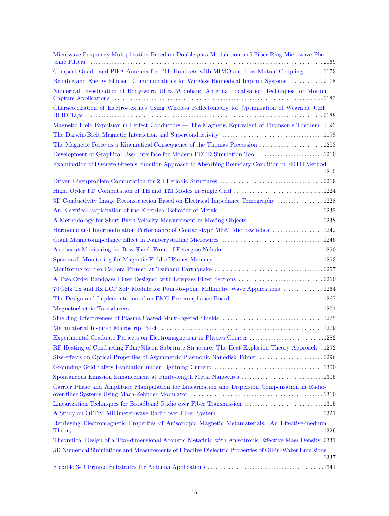| Microwave Frequency Multiplication Based on Double-pass Modulation and Fiber Ring Microwave Pho-        |
|---------------------------------------------------------------------------------------------------------|
| Compact Quad-band PIFA Antenna for LTE Handsets with MIMO and Low Mutual Coupling 1173                  |
| Reliable and Energy Efficient Communications for Wireless Biomedical Implant Systems 1178               |
| Numerical Investigation of Body-worn Ultra Wideband Antenna Localisation Techniques for Motion          |
| Characterization of Electro-textiles Using Wireless Reflectometry for Optimization of Wearable UHF      |
| Magnetic Field Expulsion in Perfect Conductors — The Magnetic Equivalent of Thomson's Theorem 1193      |
|                                                                                                         |
| The Magnetic Force as a Kinematical Consequence of the Thomas Precession 1203                           |
| Development of Graphical User Interface for Modern FDTD Simulation Tool 1210                            |
| Examination of Discrete Green's Function Approach to Absorbing Boundary Condition in FDTD Method        |
|                                                                                                         |
|                                                                                                         |
| 3D Conductivity Image Reconstruction Based on Electrical Impedance Tomography 1228                      |
|                                                                                                         |
| A Methodology for Short Basis Velocity Measurement in Moving Objects 1238                               |
| Harmonic and Intermodulation Performance of Contact-type MEM Microswitches 1242                         |
|                                                                                                         |
|                                                                                                         |
|                                                                                                         |
|                                                                                                         |
| A Two Order Bandpass Filter Designed with Lowpass Filter Sections 1260                                  |
| 70 GHz Tx and Rx LCP SoP Module for Point-to-point Millimetre Wave Applications  1264                   |
|                                                                                                         |
|                                                                                                         |
|                                                                                                         |
|                                                                                                         |
| Experimental Graduate Projects on Electromagnetism in Physics Courses 1282                              |
| RF Heating of Conducting Film/Silicon Substrate Structure: The Heat Explosion Theory Approach . 1292    |
|                                                                                                         |
|                                                                                                         |
| Spontaneous Emission Enhancement at Finite-length Metal Nanowires 1305                                  |
| Carrier Phase and Amplitude Manipulation for Linearization and Dispersion Compensation in Radio-        |
| Linearization Techniques for Broadband Radio over Fiber Transmission 1315                               |
|                                                                                                         |
| Retrieving Electromagnetic Properties of Anisotropic Magnetic Metamaterials: An Effective-medium        |
| Theoretical Design of a Two-dimensional Acoustic Metafluid with Anisotropic Effective Mass Density 1331 |
| 3D Numerical Simulations and Measurements of Effective Dielectric Properties of Oil-in-Water Emulsions  |
|                                                                                                         |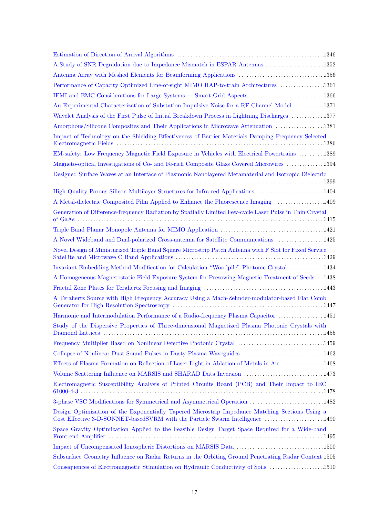| A Study of SNR Degradation due to Impedance Mismatch in ESPAR Antennas 1352                                                                                                      |
|----------------------------------------------------------------------------------------------------------------------------------------------------------------------------------|
| Antenna Array with Meshed Elements for Beamforming Applications 1356                                                                                                             |
| Performance of Capacity Optimized Line-of-sight MIMO HAP-to-train Architectures 1361                                                                                             |
| IEMI and EMC Considerations for Large Systems — Smart Grid Aspects 1366                                                                                                          |
| An Experimental Characterization of Substation Impulsive Noise for a RF Channel Model 1371                                                                                       |
| Wavelet Analysis of the First Pulse of Initial Breakdown Process in Lightning Discharges  1377                                                                                   |
| Amorphous/Silicone Composites and Their Applications in Microwave Attenuation 1381                                                                                               |
| Impact of Technology on the Shielding Effectiveness of Barrier Materials Damping Frequency Selected                                                                              |
| EM-safety: Low Frequency Magnetic Field Exposure in Vehicles with Electrical Powertrains 1389                                                                                    |
| Magneto-optical Investigations of Co- and Fe-rich Composite Glass Covered Microwires 1394                                                                                        |
| Designed Surface Waves at an Interface of Plasmonic Nanolayered Metamaterial and Isotropic Dielectric                                                                            |
| High Quality Porous Silicon Multilayer Structures for Infra-red Applications 1404                                                                                                |
| A Metal-dielectric Composited Film Applied to Enhance the Fluorescence Imaging 1409                                                                                              |
| Generation of Difference-frequency Radiation by Spatially Limited Few-cycle Laser Pulse in Thin Crystal                                                                          |
|                                                                                                                                                                                  |
| A Novel Wideband and Dual-polarized Cross-antenna for Satellite Communications 1425                                                                                              |
| Novel Design of Miniaturized Triple Band Square Microstrip Patch Antenna with F Slot for Fixed Service                                                                           |
| Invariant Embedding Method Modification for Calculation "Woodpile" Photonic Crystal 1434                                                                                         |
| A Homogeneous Magnetostatic Field Exposure System for Presowing Magnetic Treatment of Seeds 1438                                                                                 |
|                                                                                                                                                                                  |
| A Terahertz Source with High Frequency Accuracy Using a Mach-Zehnder-modulator-based Flat Comb                                                                                   |
| Harmonic and Intermodulation Performance of a Radio-frequency Plasma Capacitor 1451                                                                                              |
| Study of the Dispersive Properties of Three-dimensional Magnetized Plasma Photonic Crystals with<br>1455                                                                         |
| Frequency Multiplier Based on Nonlinear Defective Photonic Crystal 1459                                                                                                          |
| Collapse of Nonlinear Dust Sound Pulses in Dusty Plasma Waveguides 1463                                                                                                          |
| Effects of Plasma Formation on Reflection of Laser Light in Ablation of Metals in Air 1468                                                                                       |
| Volume Scattering Influence on MARSIS and SHARAD Data Inversion 1473                                                                                                             |
| Electromagnetic Susceptibility Analysis of Printed Circuits Board (PCB) and Their Impact to IEC                                                                                  |
| 3-phase VSC Modifications for Symmetrical and Asymmetrical Operation 1482                                                                                                        |
| Design Optimization of the Exponentially Tapered Microstrip Impedance Matching Sections Using a<br>Cost Effective 3-D-SONNET-basedSVRM with the Particle Swarm Intelligence 1490 |
| Space Gravity Optimization Applied to the Feasible Design Target Space Required for a Wide-band                                                                                  |
|                                                                                                                                                                                  |
| Subsurface Geometry Influence on Radar Returns in the Orbiting Ground Penetrating Radar Context 1505                                                                             |
| Consequences of Electromagnetic Stimulation on Hydraulic Conductivity of Soils 1510                                                                                              |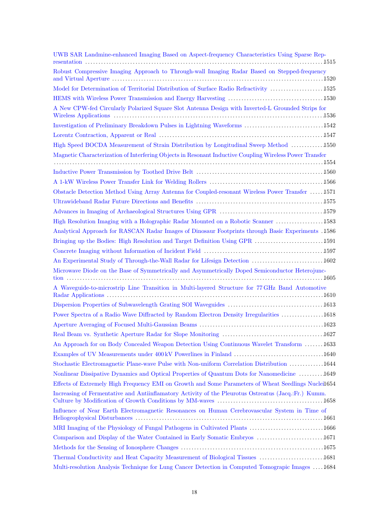| UWB SAR Landmine-enhanced Imaging Based on Aspect-frequency Characteristics Using Sparse Rep-           |
|---------------------------------------------------------------------------------------------------------|
| Robust Compressive Imaging Approach to Through-wall Imaging Radar Based on Stepped-frequency            |
| Model for Determination of Territorial Distribution of Surface Radio Refractivity 1525                  |
|                                                                                                         |
| A New CPW-fed Circularly Polarized Square Slot Antenna Design with Inverted-L Grounded Strips for       |
| Investigation of Preliminary Breakdown Pulses in Lightning Waveforms 1542                               |
|                                                                                                         |
| High Speed BOCDA Measurement of Strain Distribution by Longitudinal Sweep Method 1550                   |
| Magnetic Characterization of Interfering Objects in Resonant Inductive Coupling Wireless Power Transfer |
|                                                                                                         |
|                                                                                                         |
|                                                                                                         |
| Obstacle Detection Method Using Array Antenna for Coupled-resonant Wireless Power Transfer 1571         |
|                                                                                                         |
|                                                                                                         |
| High Resolution Imaging with a Holographic Radar Mounted on a Robotic Scanner 1583                      |
| Analytical Approach for RASCAN Radar Images of Dinosaur Footprints through Basic Experiments .1586      |
| Bringing up the Bodies: High Resolution and Target Definition Using GPR 1591                            |
|                                                                                                         |
| An Experimental Study of Through-the-Wall Radar for Lifesign Detection  1602                            |
| Microwave Diode on the Base of Symmetrically and Asymmetrically Doped Semiconductor Heterojunc-         |
| A Waveguide-to-microstrip Line Transition in Multi-layered Structure for 77 GHz Band Automotive         |
|                                                                                                         |
| Power Spectra of a Radio Wave Diffracted by Random Electron Density Irregularities 1618                 |
|                                                                                                         |
|                                                                                                         |
| An Approach for on Body Concealed Weapon Detection Using Continuous Wavelet Transform 1633              |
|                                                                                                         |
| Stochastic Electromagnetic Plane-wave Pulse with Non-uniform Correlation Distribution 1644              |
| Nonlinear Dissipative Dynamics and Optical Properties of Quantum Dots for Nanomedicine 1649             |
| Effects of Extremely High Frequency EMI on Growth and Some Parameters of Wheat Seedlings Nuclei1654     |
| Increasing of Fermentative and Antiinflamatory Activity of the Pleurotus Ostreatus (Jacq.:Fr.) Kumm.    |
|                                                                                                         |
| Influence of Near Earth Electromagnetic Resonances on Human Cerebrovascular System in Time of           |
| MRI Imaging of the Physiology of Fungal Pathogens in Cultivated Plants 1666                             |
| Comparison and Display of the Water Contained in Early Somatic Embryos  1671                            |
|                                                                                                         |
| Thermal Conductivity and Heat Capacity Measurement of Biological Tissues 1681                           |
| Multi-resolution Analysis Technique for Lung Cancer Detection in Computed Tomograpic Images 1684        |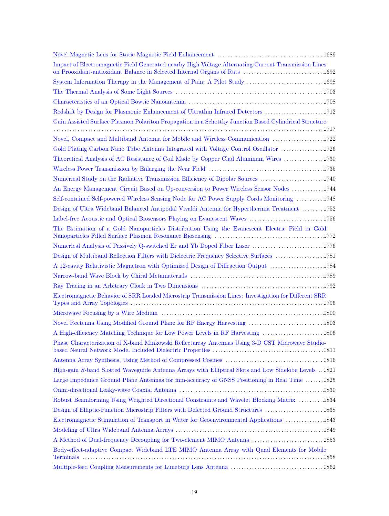| Impact of Electromagnetic Field Generated nearby High Voltage Alternating Current Transmission Lines   |
|--------------------------------------------------------------------------------------------------------|
| System Information Therapy in the Management of Pain: A Pilot Study 1698                               |
|                                                                                                        |
|                                                                                                        |
| Redshift by Design for Plasmonic Enhancement of Ultrathin Infrared Detectors 1712                      |
| Gain Assisted Surface Plasmon Polariton Propagation in a Schottky Junction Based Cylindrical Structure |
|                                                                                                        |
| Novel, Compact and Multiband Antenna for Mobile and Wireless Communication  1722                       |
| Gold Plating Carbon Nano Tube Antenna Integrated with Voltage Control Oscillator 1726                  |
| Theoretical Analysis of AC Resistance of Coil Made by Copper Clad Aluminum Wires 1730                  |
|                                                                                                        |
| Numerical Study on the Radiative Transmission Efficiency of Dipolar Sources 1740                       |
| An Energy Management Circuit Based on Up-conversion to Power Wireless Sensor Nodes 1744                |
| Self-contained Self-powered Wireless Sensing Node for AC Power Supply Cords Monitoring 1748            |
| Design of Ultra Wideband Balanced Antipodal Vivaldi Antenna for Hyperthermia Treatment 1752            |
| Label-free Acoustic and Optical Biosensors Playing on Evanescent Waves 1756                            |
| The Estimation of a Gold Nanoparticles Distribution Using the Evanescent Electric Field in Gold        |
| Numerical Analysis of Passively Q-switched Er and Yb Doped Fiber Laser 1776                            |
| Design of Multiband Reflection Filters with Dielectric Frequency Selective Surfaces  1781              |
| A 12-cavity Relativistic Magnetron with Optimized Design of Diffraction Output 1784                    |
|                                                                                                        |
|                                                                                                        |
| Electromagnetic Behavior of SRR Loaded Microstrip Transmission Lines: Investigation for Different SRR  |
|                                                                                                        |
| Novel Rectenna Using Modified Ground Plane for RF Energy Harvesting  1803                              |
| A High-efficiency Matching Technique for Low Power Levels in RF Harvesting<br>. 1806                   |
| Phase Characterization of X-band Minkowski Reflectarray Antennas Using 3-D CST Microwave Studio-       |
|                                                                                                        |
| High-gain S-band Slotted Waveguide Antenna Arrays with Elliptical Slots and Low Sidelobe Levels . 1821 |
| Large Impedance Ground Plane Antennas for mm-accuracy of GNSS Positioning in Real Time 1825            |
|                                                                                                        |
| Robust Beamforming Using Weighted Directional Constraints and Wavelet Blocking Matrix 1834             |
| Design of Elliptic-Function Microstrip Filters with Defected Ground Structures 1838                    |
| Electromagnetic Stimulation of Transport in Water for Geoenvironmental Applications 1843               |
|                                                                                                        |
| A Method of Dual-frequency Decoupling for Two-element MIMO Antenna 1853                                |
| Body-effect-adaptive Compact Wideband LTE MIMO Antenna Array with Quad Elements for Mobile             |
|                                                                                                        |